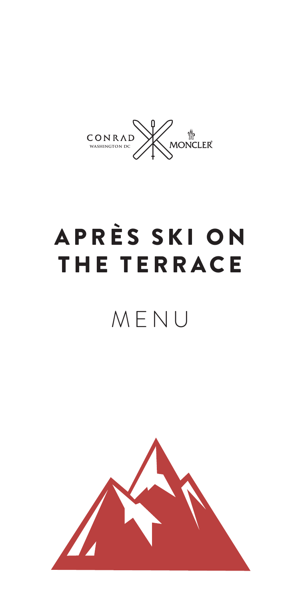

# APRÈS SKI ON THE TERRACE

# MENU

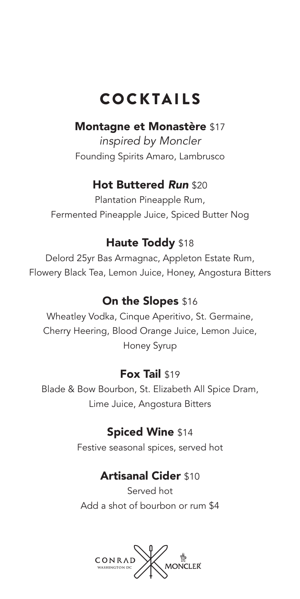# COCKTAILS

#### Montagne et Monastère \$17

*inspired by Moncler* Founding Spirits Amaro, Lambrusco

#### Hot Buttered *Run* \$20

Plantation Pineapple Rum, Fermented Pineapple Juice, Spiced Butter Nog

#### Haute Toddy \$18

Delord 25yr Bas Armagnac, Appleton Estate Rum, Flowery Black Tea, Lemon Juice, Honey, Angostura Bitters

#### On the Slopes \$16

Wheatley Vodka, Cinque Aperitivo, St. Germaine, Cherry Heering, Blood Orange Juice, Lemon Juice, Honey Syrup

#### Fox Tail \$19

Blade & Bow Bourbon, St. Elizabeth All Spice Dram, Lime Juice, Angostura Bitters

#### Spiced Wine \$14

Festive seasonal spices, served hot

#### Artisanal Cider \$10

Served hot Add a shot of bourbon or rum \$4

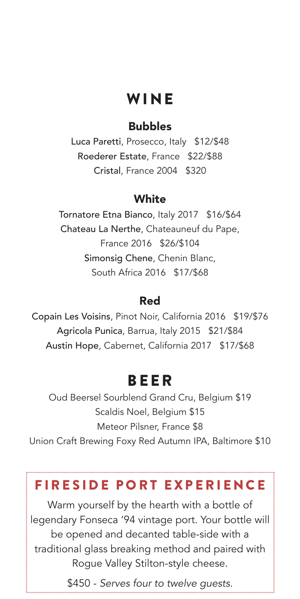## **WINE**

#### Bubbles

Luca Paretti, Prosecco, Italy \$12/\$48 Roederer Estate, France \$22/\$88 Cristal, France 2004 \$320

#### **White**

Tornatore Etna Bianco, Italy 2017 \$16/\$64 Chateau La Nerthe, Chateauneuf du Pape, France 2016 \$26/\$104 Simonsig Chene, Chenin Blanc, South Africa 2016 \$17/\$68

#### Red

Copain Les Voisins, Pinot Noir, California 2016 \$19/\$76 Agricola Punica, Barrua, Italy 2015 \$21/\$84 Austin Hope, Cabernet, California 2017 \$17/\$68

### BEER

Oud Beersel Sourblend Grand Cru, Belgium \$19 Scaldis Noel, Belgium \$15 Meteor Pilsner, France \$8 Union Craft Brewing Foxy Red Autumn IPA, Baltimore \$10

### FIRESIDE PORT EXPERIENCE

Warm yourself by the hearth with a bottle of legendary Fonseca '94 vintage port. Your bottle will be opened and decanted table-side with a traditional glass breaking method and paired with Rogue Valley Stilton-style cheese.

\$450 - *Serves four to twelve guests.*